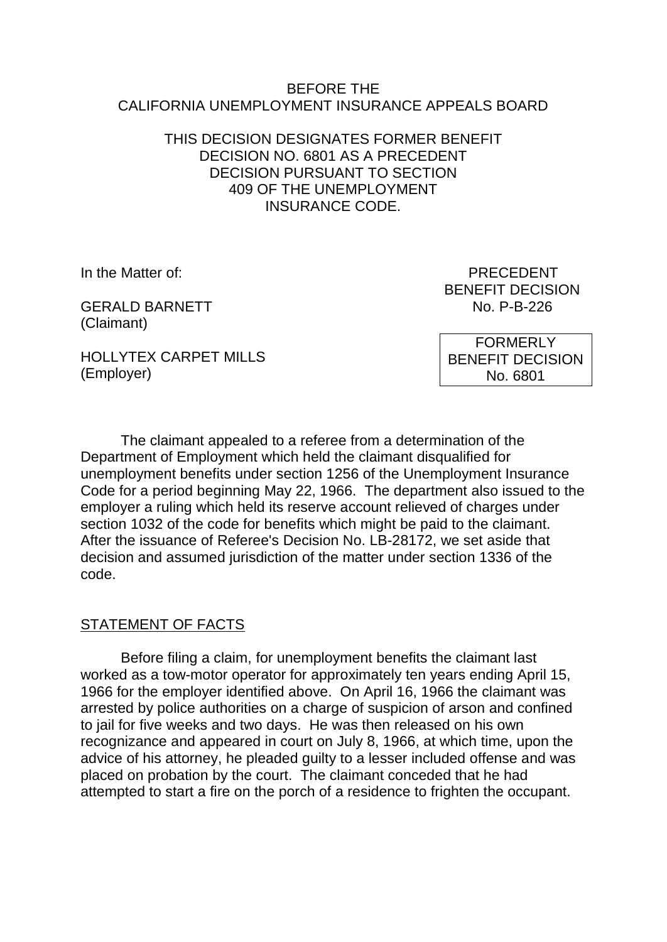#### BEFORE THE CALIFORNIA UNEMPLOYMENT INSURANCE APPEALS BOARD

# THIS DECISION DESIGNATES FORMER BENEFIT DECISION NO. 6801 AS A PRECEDENT DECISION PURSUANT TO SECTION 409 OF THE UNEMPLOYMENT INSURANCE CODE.

GERALD BARNETT NO. P-B-226 (Claimant)

In the Matter of: PRECEDENT BENEFIT DECISION

HOLLYTEX CARPET MILLS (Employer)

FORMERLY BENEFIT DECISION No. 6801

The claimant appealed to a referee from a determination of the Department of Employment which held the claimant disqualified for unemployment benefits under section 1256 of the Unemployment Insurance Code for a period beginning May 22, 1966. The department also issued to the employer a ruling which held its reserve account relieved of charges under section 1032 of the code for benefits which might be paid to the claimant. After the issuance of Referee's Decision No. LB-28172, we set aside that decision and assumed jurisdiction of the matter under section 1336 of the code.

# STATEMENT OF FACTS

Before filing a claim, for unemployment benefits the claimant last worked as a tow-motor operator for approximately ten years ending April 15, 1966 for the employer identified above. On April 16, 1966 the claimant was arrested by police authorities on a charge of suspicion of arson and confined to jail for five weeks and two days. He was then released on his own recognizance and appeared in court on July 8, 1966, at which time, upon the advice of his attorney, he pleaded guilty to a lesser included offense and was placed on probation by the court. The claimant conceded that he had attempted to start a fire on the porch of a residence to frighten the occupant.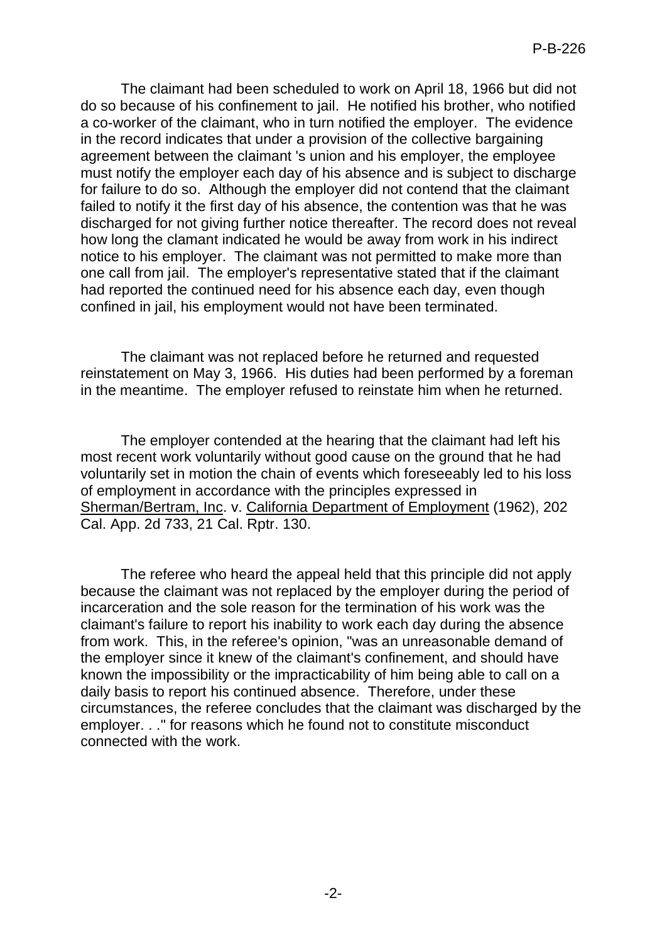The claimant had been scheduled to work on April 18, 1966 but did not do so because of his confinement to jail. He notified his brother, who notified a co-worker of the claimant, who in turn notified the employer. The evidence in the record indicates that under a provision of the collective bargaining agreement between the claimant 's union and his employer, the employee must notify the employer each day of his absence and is subject to discharge for failure to do so. Although the employer did not contend that the claimant failed to notify it the first day of his absence, the contention was that he was discharged for not giving further notice thereafter. The record does not reveal how long the clamant indicated he would be away from work in his indirect notice to his employer. The claimant was not permitted to make more than one call from jail. The employer's representative stated that if the claimant had reported the continued need for his absence each day, even though confined in jail, his employment would not have been terminated.

The claimant was not replaced before he returned and requested reinstatement on May 3, 1966. His duties had been performed by a foreman in the meantime. The employer refused to reinstate him when he returned.

The employer contended at the hearing that the claimant had left his most recent work voluntarily without good cause on the ground that he had voluntarily set in motion the chain of events which foreseeably led to his loss of employment in accordance with the principles expressed in Sherman/Bertram, Inc. v. California Department of Employment (1962), 202 Cal. App. 2d 733, 21 Cal. Rptr. 130.

The referee who heard the appeal held that this principle did not apply because the claimant was not replaced by the employer during the period of incarceration and the sole reason for the termination of his work was the claimant's failure to report his inability to work each day during the absence from work. This, in the referee's opinion, "was an unreasonable demand of the employer since it knew of the claimant's confinement, and should have known the impossibility or the impracticability of him being able to call on a daily basis to report his continued absence. Therefore, under these circumstances, the referee concludes that the claimant was discharged by the employer. . ." for reasons which he found not to constitute misconduct connected with the work.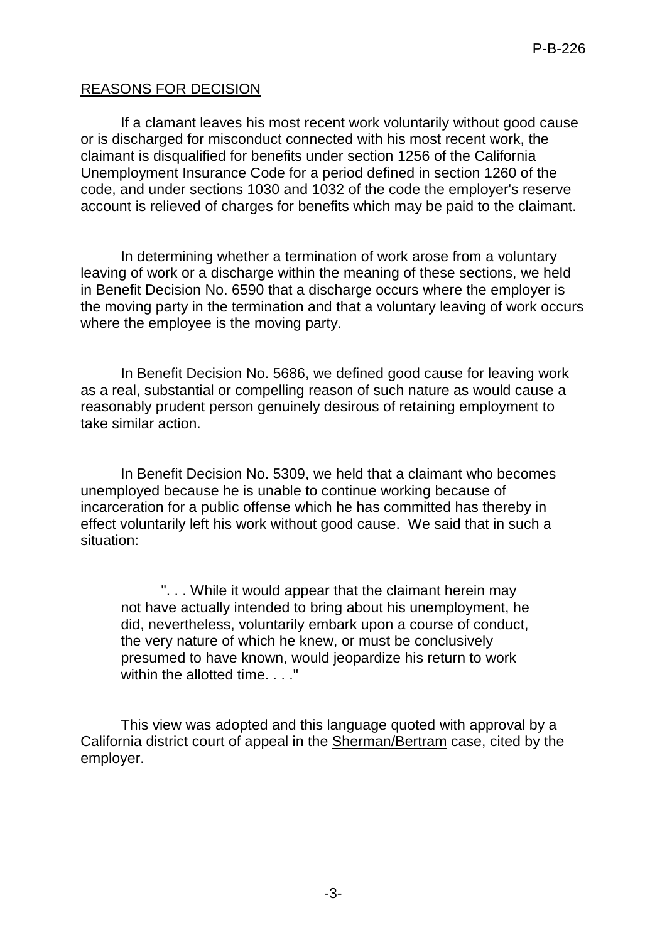# REASONS FOR DECISION

If a clamant leaves his most recent work voluntarily without good cause or is discharged for misconduct connected with his most recent work, the claimant is disqualified for benefits under section 1256 of the California Unemployment Insurance Code for a period defined in section 1260 of the code, and under sections 1030 and 1032 of the code the employer's reserve account is relieved of charges for benefits which may be paid to the claimant.

In determining whether a termination of work arose from a voluntary leaving of work or a discharge within the meaning of these sections, we held in Benefit Decision No. 6590 that a discharge occurs where the employer is the moving party in the termination and that a voluntary leaving of work occurs where the employee is the moving party.

In Benefit Decision No. 5686, we defined good cause for leaving work as a real, substantial or compelling reason of such nature as would cause a reasonably prudent person genuinely desirous of retaining employment to take similar action.

In Benefit Decision No. 5309, we held that a claimant who becomes unemployed because he is unable to continue working because of incarceration for a public offense which he has committed has thereby in effect voluntarily left his work without good cause. We said that in such a situation:

". . . While it would appear that the claimant herein may not have actually intended to bring about his unemployment, he did, nevertheless, voluntarily embark upon a course of conduct, the very nature of which he knew, or must be conclusively presumed to have known, would jeopardize his return to work within the allotted time...."

This view was adopted and this language quoted with approval by a California district court of appeal in the Sherman/Bertram case, cited by the employer.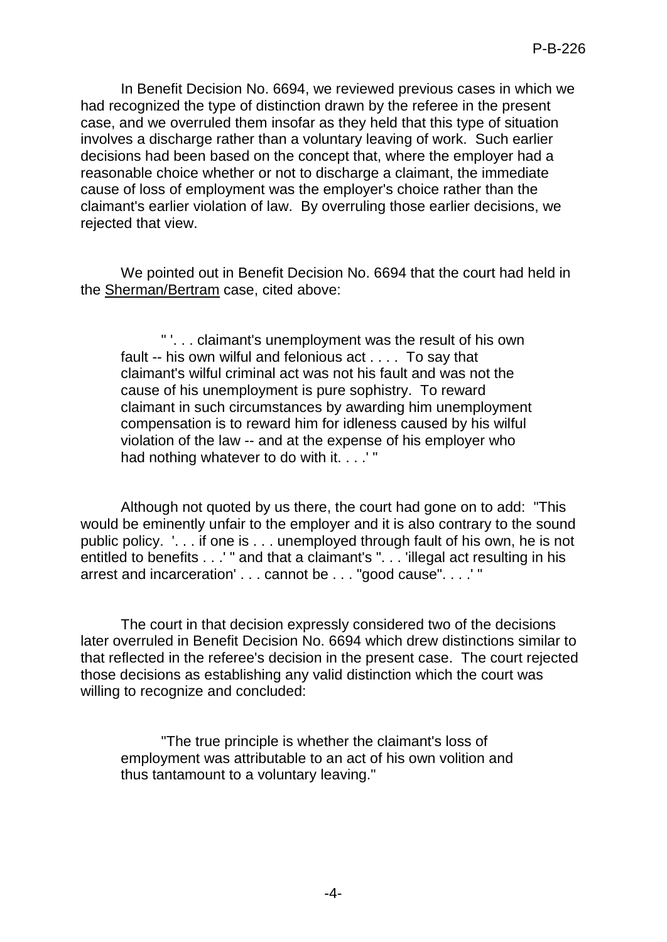In Benefit Decision No. 6694, we reviewed previous cases in which we had recognized the type of distinction drawn by the referee in the present case, and we overruled them insofar as they held that this type of situation involves a discharge rather than a voluntary leaving of work. Such earlier decisions had been based on the concept that, where the employer had a reasonable choice whether or not to discharge a claimant, the immediate cause of loss of employment was the employer's choice rather than the claimant's earlier violation of law. By overruling those earlier decisions, we rejected that view.

We pointed out in Benefit Decision No. 6694 that the court had held in the Sherman/Bertram case, cited above:

" '. . . claimant's unemployment was the result of his own fault -- his own wilful and felonious act . . . . To say that claimant's wilful criminal act was not his fault and was not the cause of his unemployment is pure sophistry. To reward claimant in such circumstances by awarding him unemployment compensation is to reward him for idleness caused by his wilful violation of the law -- and at the expense of his employer who had nothing whatever to do with it. . . . "

Although not quoted by us there, the court had gone on to add: "This would be eminently unfair to the employer and it is also contrary to the sound public policy. '. . . if one is . . . unemployed through fault of his own, he is not entitled to benefits . . .' " and that a claimant's ". . . 'illegal act resulting in his arrest and incarceration' . . . cannot be . . . "good cause". . . .' "

The court in that decision expressly considered two of the decisions later overruled in Benefit Decision No. 6694 which drew distinctions similar to that reflected in the referee's decision in the present case. The court rejected those decisions as establishing any valid distinction which the court was willing to recognize and concluded:

"The true principle is whether the claimant's loss of employment was attributable to an act of his own volition and thus tantamount to a voluntary leaving."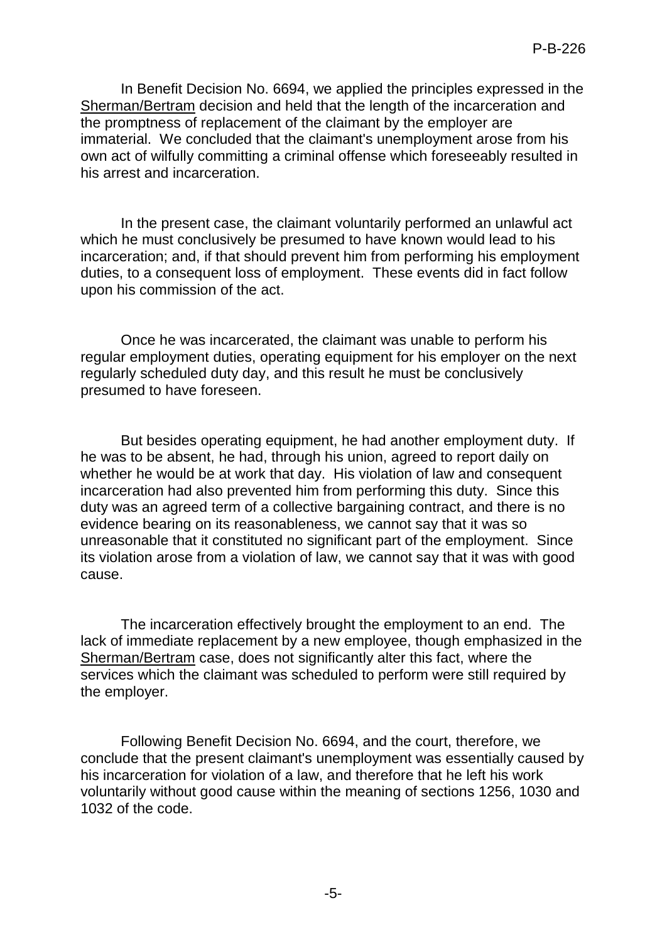In Benefit Decision No. 6694, we applied the principles expressed in the Sherman/Bertram decision and held that the length of the incarceration and the promptness of replacement of the claimant by the employer are immaterial. We concluded that the claimant's unemployment arose from his own act of wilfully committing a criminal offense which foreseeably resulted in his arrest and incarceration.

In the present case, the claimant voluntarily performed an unlawful act which he must conclusively be presumed to have known would lead to his incarceration; and, if that should prevent him from performing his employment duties, to a consequent loss of employment. These events did in fact follow upon his commission of the act.

Once he was incarcerated, the claimant was unable to perform his regular employment duties, operating equipment for his employer on the next regularly scheduled duty day, and this result he must be conclusively presumed to have foreseen.

But besides operating equipment, he had another employment duty. If he was to be absent, he had, through his union, agreed to report daily on whether he would be at work that day. His violation of law and consequent incarceration had also prevented him from performing this duty. Since this duty was an agreed term of a collective bargaining contract, and there is no evidence bearing on its reasonableness, we cannot say that it was so unreasonable that it constituted no significant part of the employment. Since its violation arose from a violation of law, we cannot say that it was with good cause.

The incarceration effectively brought the employment to an end. The lack of immediate replacement by a new employee, though emphasized in the Sherman/Bertram case, does not significantly alter this fact, where the services which the claimant was scheduled to perform were still required by the employer.

Following Benefit Decision No. 6694, and the court, therefore, we conclude that the present claimant's unemployment was essentially caused by his incarceration for violation of a law, and therefore that he left his work voluntarily without good cause within the meaning of sections 1256, 1030 and 1032 of the code.